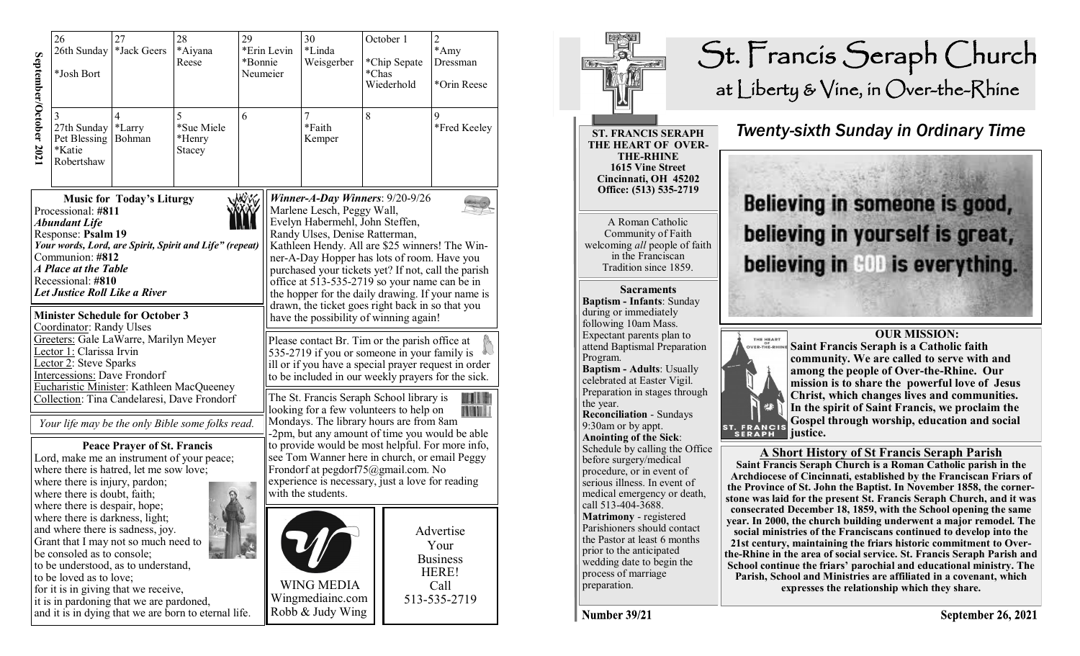|                                                                                                                                                                                                                                                                                                                                                   | 26<br>26th Sunday<br>*Josh Bort                          | 27<br>*Jack Geers                                                                                                                                                                                                                                                                                                                                                                        | 28<br>*Aiyana<br>Reese | 29<br>*Erin Levin<br>*Bonnie<br>Neumeier |                                                                                                                                                                                                                                                                                                                                                                                                    | 30<br>*Linda<br>Weisgerber                                                                                                                                                                                                                                                                                 | *Chas | October 1<br>*Chip Sepate<br>Wiederhold | $\overline{2}$<br>$*$ Amy<br>Dressman<br>*Orin Reese                  |  |
|---------------------------------------------------------------------------------------------------------------------------------------------------------------------------------------------------------------------------------------------------------------------------------------------------------------------------------------------------|----------------------------------------------------------|------------------------------------------------------------------------------------------------------------------------------------------------------------------------------------------------------------------------------------------------------------------------------------------------------------------------------------------------------------------------------------------|------------------------|------------------------------------------|----------------------------------------------------------------------------------------------------------------------------------------------------------------------------------------------------------------------------------------------------------------------------------------------------------------------------------------------------------------------------------------------------|------------------------------------------------------------------------------------------------------------------------------------------------------------------------------------------------------------------------------------------------------------------------------------------------------------|-------|-----------------------------------------|-----------------------------------------------------------------------|--|
| September/October 202                                                                                                                                                                                                                                                                                                                             | 3<br>27th Sunday<br>Pet Blessing<br>*Katie<br>Robertshaw | $\overline{4}$<br>5<br>6<br>*Sue Miele<br>*Larry<br>Bohman<br>*Henry<br>Stacey                                                                                                                                                                                                                                                                                                           |                        |                                          |                                                                                                                                                                                                                                                                                                                                                                                                    | 7<br>*Faith<br>Kemper                                                                                                                                                                                                                                                                                      | 8     |                                         | 9<br>*Fred Keeley                                                     |  |
| <b>NOW</b><br><b>Music for Today's Liturgy</b><br>Processional: #811<br><b>Abundant Life</b><br>Response: Psalm 19<br>Your words, Lord, are Spirit, Spirit and Life" (repeat)<br>Communion: #812<br>A Place at the Table<br>Recessional: #810<br>Let Justice Roll Like a River                                                                    |                                                          |                                                                                                                                                                                                                                                                                                                                                                                          |                        |                                          | Winner-A-Day Winners: $9/20-9/26$<br>Marlene Lesch, Peggy Wall,<br>Evelyn Habermehl, John Steffen,<br>Randy Ulses, Denise Ratterman,<br>Kathleen Hendy. All are \$25 winners! The Win-<br>ner-A-Day Hopper has lots of room. Have you<br>purchased your tickets yet? If not, call the parish<br>office at 513-535-2719 so your name can be in<br>the hopper for the daily drawing. If your name is |                                                                                                                                                                                                                                                                                                            |       |                                         |                                                                       |  |
| <b>Minister Schedule for October 3</b><br>Coordinator: Randy Ulses<br>Greeters: Gale LaWarre, Marilyn Meyer<br>Lector 1: Clarissa Irvin<br>Lector 2: Steve Sparks<br>Intercessions: Dave Frondorf<br>Eucharistic Minister: Kathleen MacQueeney<br>Collection: Tina Candelaresi, Dave Frondorf<br>Your life may be the only Bible some folks read. |                                                          |                                                                                                                                                                                                                                                                                                                                                                                          |                        |                                          |                                                                                                                                                                                                                                                                                                                                                                                                    | drawn, the ticket goes right back in so that you<br>have the possibility of winning again!<br>Please contact Br. Tim or the parish office at<br>535-2719 if you or someone in your family is<br>ill or if you have a special prayer request in order<br>to be included in our weekly prayers for the sick. |       |                                         |                                                                       |  |
|                                                                                                                                                                                                                                                                                                                                                   |                                                          |                                                                                                                                                                                                                                                                                                                                                                                          |                        |                                          |                                                                                                                                                                                                                                                                                                                                                                                                    | The St. Francis Seraph School library is<br>looking for a few volunteers to help on<br><b>THE MILL</b><br>Mondays. The library hours are from 8am                                                                                                                                                          |       |                                         |                                                                       |  |
| <b>Peace Prayer of St. Francis</b><br>Lord, make me an instrument of your peace;<br>where there is hatred, let me sow love;<br>where there is injury, pardon;<br>where there is doubt, faith;                                                                                                                                                     |                                                          |                                                                                                                                                                                                                                                                                                                                                                                          |                        |                                          | -2pm, but any amount of time you would be able<br>to provide would be most helpful. For more info,<br>see Tom Wanner here in church, or email Peggy<br>Frondorf at pegdorf75@gmail.com. No<br>experience is necessary, just a love for reading<br>with the students.                                                                                                                               |                                                                                                                                                                                                                                                                                                            |       |                                         |                                                                       |  |
|                                                                                                                                                                                                                                                                                                                                                   |                                                          | where there is despair, hope;<br>where there is darkness, light;<br>and where there is sadness, joy.<br>Grant that I may not so much need to<br>be consoled as to console;<br>to be understood, as to understand,<br>to be loved as to love;<br>for it is in giving that we receive,<br>it is in pardoning that we are pardoned,<br>and it is in dying that we are born to eternal life. |                        |                                          |                                                                                                                                                                                                                                                                                                                                                                                                    | <b>WING MEDIA</b><br>Wingmediainc.com<br>Robb & Judy Wing                                                                                                                                                                                                                                                  |       |                                         | Advertise<br>Your<br><b>Business</b><br>HERE!<br>Call<br>513-535-2719 |  |



Number 39/21